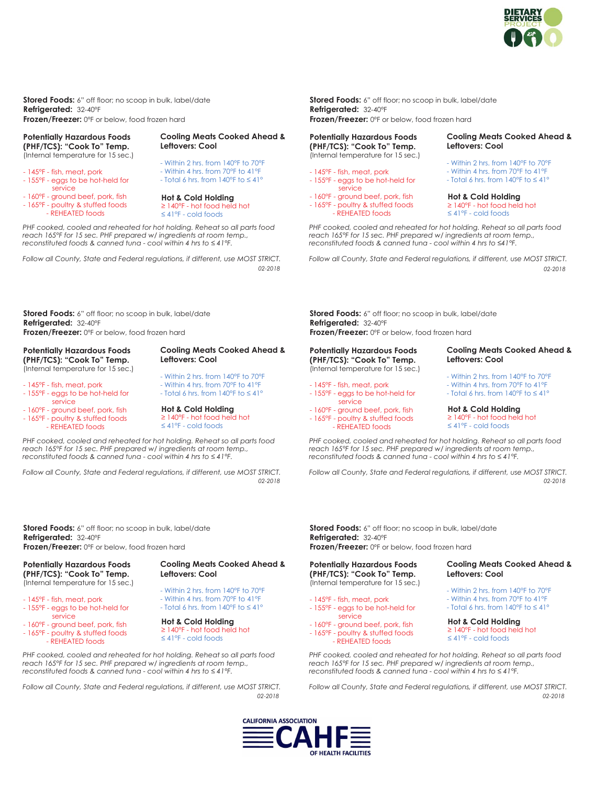

**Stored Foods:** 6" off floor; no scoop in bulk, label/date **Refrigerated:** 32-40ºF **Frozen/Freezer:** 0ºF or below, food frozen hard

#### **Potentially Hazardous Foods (PHF/TCS): "Cook To" Temp.**

(Internal temperature for 15 sec.)

- 145°F fish, meat, pork - 155°F - eggs to be hot-held for service
- 160°F ground beef, pork, fish - 165°F - poultry & stuffed foods
- REHEATED foods

- Total 6 hrs. from 140°F to ≤ 41° **Hot & Cold Holding** ≥ 140°F - hot food held hot ≤ 41°F - cold foods

**Leftovers: Cool**

**Cooling Meats Cooked Ahead &** 

- Within 2 hrs. from 140°F to 70°F - Within 4 hrs. from 70°F to 41°F

*PHF cooked, cooled and reheated for hot holding. Reheat so all parts food reach 165°F for 15 sec. PHF prepared w/ ingredients at room temp., reconstituted foods & canned tuna - cool within 4 hrs to ≤41°F.* 

*Follow all County, State and Federal regulations, if different, use MOST STRICT.*

**Stored Foods:** 6" off floor; no scoop in bulk, label/date **Refrigerated:** 32-40ºF **Frozen/Freezer:** 0ºF or below, food frozen hard

# **Potentially Hazardous Foods (PHF/TCS): "Cook To" Temp.**

(Internal temperature for 15 sec.)

- 145°F fish, meat, pork
- 155°F eggs to be hot-held for service
- 160°F ground beef, pork, fish - 165°F - poultry & stuffed foods
	- REHEATED foods

- Within 2 hrs. from 140°F to 70°F - Within 4 hrs. from 70°F to 41°F - Total 6 hrs. from 140°F to ≤ 41°

**Leftovers: Cool**

**Cooling Meats Cooked Ahead &** 

**Hot & Cold Holding** ≥ 140°F - hot food held hot ≤ 41°F - cold foods

*PHF cooked, cooled and reheated for hot holding. Reheat so all parts food reach 165°F for 15 sec. PHF prepared w/ ingredients at room temp., reconstituted foods & canned tuna - cool within 4 hrs to ≤41°F.* 

*Follow all County, State and Federal regulations, if different, use MOST STRICT.*

**Stored Foods:** 6" off floor; no scoop in bulk, label/date **Refrigerated:** 32-40ºF **Frozen/Freezer:** 0ºF or below, food frozen hard

## **Potentially Hazardous Foods (PHF/TCS): "Cook To" Temp.**

(Internal temperature for 15 sec.)

- 145°F fish, meat, pork - 155°F - eggs to be hot-held for
- service
- 160°F ground beef, pork, fish - 165°F - poultry & stuffed foods - REHEATED foods

**Cooling Meats Cooked Ahead & Leftovers: Cool**

- Within 2 hrs. from 140°F to 70°F - Within 4 hrs. from 70°F to 41°F
- Total 6 hrs. from 140°F to ≤ 41°

#### **Hot & Cold Holding** ≥ 140°F - hot food held hot ≤ 41°F - cold foods

*PHF cooked, cooled and reheated for hot holding. Reheat so all parts food reach 165°F for 15 sec. PHF prepared w/ ingredients at room temp., reconstituted foods & canned tuna - cool within 4 hrs to ≤41°F.* 

*Follow all County, State and Federal regulations, if different, use MOST STRICT.*

**Stored Foods:** 6" off floor; no scoop in bulk, label/date **Refrigerated:** 32-40ºF

**Frozen/Freezer:** 0ºF or below, food frozen hard

#### **Potentially Hazardous Foods (PHF/TCS): "Cook To" Temp.** (Internal temperature for 15 sec.)

- 145°F fish, meat, pork - 155°F - eggs to be hot-held for
- service - 160°F - ground beef, pork, fish
- 165°F poultry & stuffed foods
- REHEATED foods

## **Cooling Meats Cooked Ahead & Leftovers: Cool**

- Within 2 hrs. from 140°F to 70°F
- Within 4 hrs. from 70°F to 41°F
- Total 6 hrs. from 140°F to ≤ 41°

# **Hot & Cold Holding**

≥ 140°F - hot food held hot ≤ 41°F - cold foods

*PHF cooked, cooled and reheated for hot holding. Reheat so all parts food reach 165°F for 15 sec. PHF prepared w/ ingredients at room temp., reconstituted foods & canned tuna - cool within 4 hrs to ≤41°F.*

*Follow all County, State and Federal regulations, if different, use MOST STRICT. 02-2018 02-2018*

> **Stored Foods:** 6" off floor; no scoop in bulk, label/date **Refrigerated:** 32-40ºF

**Frozen/Freezer:** 0ºF or below, food frozen hard

#### **Potentially Hazardous Foods (PHF/TCS): "Cook To" Temp.** (Internal temperature for 15 sec.)

# - 145°F - fish, meat, pork

- 155°F eggs to be hot-held for service
- 160°F ground beef, pork, fish - 165°F - poultry & stuffed foods
- REHEATED foods

*PHF cooked, cooled and reheated for hot holding. Reheat so all parts food reach 165°F for 15 sec. PHF prepared w/ ingredients at room temp., reconstituted foods & canned tuna - cool within 4 hrs to ≤41°F.* 

*Follow all County, State and Federal regulations, if different, use MOST STRICT. 02-2018 02-2018*

> **Stored Foods:** 6" off floor; no scoop in bulk, label/date **Refrigerated:** 32-40ºF **Frozen/Freezer:** 0ºF or below, food frozen hard

### **Potentially Hazardous Foods (PHF/TCS): "Cook To" Temp.** (Internal temperature for 15 sec.)

- 145°F fish, meat, pork
- 155°F eggs to be hot-held for service
- 160°F ground beef, pork, fish
- 165°F poultry & stuffed foods
- REHEATED foods

*PHF cooked, cooled and reheated for hot holding. Reheat so all parts food reach 165°F for 15 sec. PHF prepared w/ ingredients at room temp., reconstituted foods & canned tuna - cool within 4 hrs to ≤41°F.* 

*Follow all County, State and Federal regulations, if different, use MOST STRICT. 02-2018 02-2018*



#### - Within 2 hrs. from 140°F to 70°F - Within 4 hrs. from 70°F to 41°F - Total 6 hrs. from 140°F to ≤ 41°

**Leftovers: Cool**

**Cooling Meats Cooked Ahead &** 

## **Hot & Cold Holding** ≥ 140°F - hot food held hot

≤ 41°F - cold foods

# **Cooling Meats Cooked Ahead & Leftovers: Cool**

- Within 2 hrs. from 140°F to 70°F
- Within 4 hrs. from 70°F to 41°F - Total 6 hrs. from 140°F to ≤ 41°
- 

#### **Hot & Cold Holding** ≥ 140°F - hot food held hot

≤ 41°F - cold foods